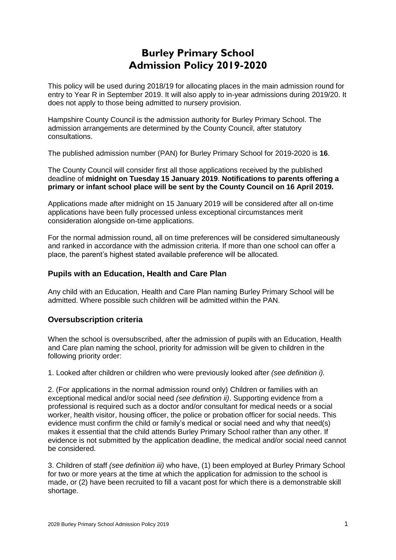# **Burley Primary School Admission Policy 2019-2020**

This policy will be used during 2018/19 for allocating places in the main admission round for entry to Year R in September 2019. It will also apply to in-year admissions during 2019/20. It does not apply to those being admitted to nursery provision.

Hampshire County Council is the admission authority for Burley Primary School. The admission arrangements are determined by the County Council, after statutory consultations.

The published admission number (PAN) for Burley Primary School for 2019-2020 is **16**.

The County Council will consider first all those applications received by the published deadline of **midnight on Tuesday 15 January 2019**. **Notifications to parents offering a primary or infant school place will be sent by the County Council on 16 April 2019.**

Applications made after midnight on 15 January 2019 will be considered after all on-time applications have been fully processed unless exceptional circumstances merit consideration alongside on-time applications.

For the normal admission round, all on time preferences will be considered simultaneously and ranked in accordance with the admission criteria. If more than one school can offer a place, the parent's highest stated available preference will be allocated.

## **Pupils with an Education, Health and Care Plan**

Any child with an Education, Health and Care Plan naming Burley Primary School will be admitted. Where possible such children will be admitted within the PAN.

## **Oversubscription criteria**

When the school is oversubscribed, after the admission of pupils with an Education, Health and Care plan naming the school, priority for admission will be given to children in the following priority order:

1. Looked after children or children who were previously looked after *(see definition i).* 

2. (For applications in the normal admission round only) Children or families with an exceptional medical and/or social need *(see definition ii)*. Supporting evidence from a professional is required such as a doctor and/or consultant for medical needs or a social worker, health visitor, housing officer, the police or probation officer for social needs. This evidence must confirm the child or family's medical or social need and why that need(s) makes it essential that the child attends Burley Primary School rather than any other. If evidence is not submitted by the application deadline, the medical and/or social need cannot be considered.

3. Children of staff *(see definition iii)* who have, (1) been employed at Burley Primary School for two or more years at the time at which the application for admission to the school is made, or (2) have been recruited to fill a vacant post for which there is a demonstrable skill shortage.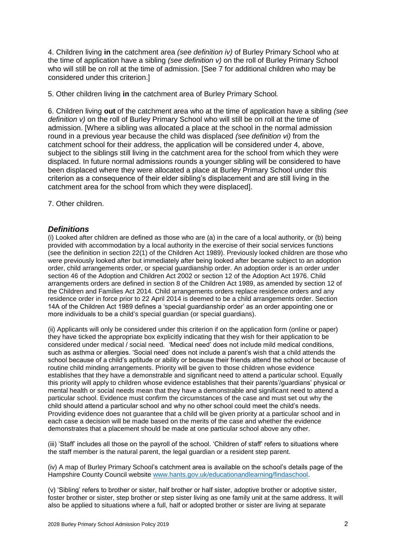4. Children living **in** the catchment area *(see definition iv)* of Burley Primary School who at the time of application have a sibling *(see definition v)* on the roll of Burley Primary School who will still be on roll at the time of admission. [See 7 for additional children who may be considered under this criterion.]

5. Other children living **in** the catchment area of Burley Primary School*.*

6. Children living **out** of the catchment area who at the time of application have a sibling *(see definition v)* on the roll of Burley Primary School who will still be on roll at the time of admission. [Where a sibling was allocated a place at the school in the normal admission round in a previous year because the child was displaced *(see definition vi)* from the catchment school for their address, the application will be considered under 4, above, subject to the siblings still living in the catchment area for the school from which they were displaced. In future normal admissions rounds a younger sibling will be considered to have been displaced where they were allocated a place at Burley Primary School under this criterion as a consequence of their elder sibling's displacement and are still living in the catchment area for the school from which they were displaced].

7. Other children.

## *Definitions*

(i) Looked after children are defined as those who are (a) in the care of a local authority, or (b) being provided with accommodation by a local authority in the exercise of their social services functions (see the definition in section 22(1) of the Children Act 1989). Previously looked children are those who were previously looked after but immediately after being looked after became subject to an adoption order, child arrangements order, or special guardianship order. An adoption order is an order under section 46 of the Adoption and Children Act 2002 or section 12 of the Adoption Act 1976. Child arrangements orders are defined in section 8 of the Children Act 1989, as amended by section 12 of the Children and Families Act 2014. Child arrangements orders replace residence orders and any residence order in force prior to 22 April 2014 is deemed to be a child arrangements order. Section 14A of the Children Act 1989 defines a 'special guardianship order' as an order appointing one or more individuals to be a child's special guardian (or special guardians).

(ii) Applicants will only be considered under this criterion if on the application form (online or paper) they have ticked the appropriate box explicitly indicating that they wish for their application to be considered under medical / social need. 'Medical need' does not include mild medical conditions, such as asthma or allergies. 'Social need' does not include a parent's wish that a child attends the school because of a child's aptitude or ability or because their friends attend the school or because of routine child minding arrangements. Priority will be given to those children whose evidence establishes that they have a demonstrable and significant need to attend a particular school. Equally this priority will apply to children whose evidence establishes that their parents'/guardians' physical or mental health or social needs mean that they have a demonstrable and significant need to attend a particular school. Evidence must confirm the circumstances of the case and must set out why the child should attend a particular school and why no other school could meet the child's needs. Providing evidence does not guarantee that a child will be given priority at a particular school and in each case a decision will be made based on the merits of the case and whether the evidence demonstrates that a placement should be made at one particular school above any other.

(iii) 'Staff' includes all those on the payroll of the school. 'Children of staff' refers to situations where the staff member is the natural parent, the legal guardian or a resident step parent.

(iv) A map of Burley Primary School's catchment area is available on the school's details page of the Hampshire County Council website [www.hants.gov.uk/educationandlearning/findaschool.](http://www.hants.gov.uk/educationandlearning/findaschool)

(v) 'Sibling' refers to brother or sister, half brother or half sister, adoptive brother or adoptive sister, foster brother or sister, step brother or step sister living as one family unit at the same address. It will also be applied to situations where a full, half or adopted brother or sister are living at separate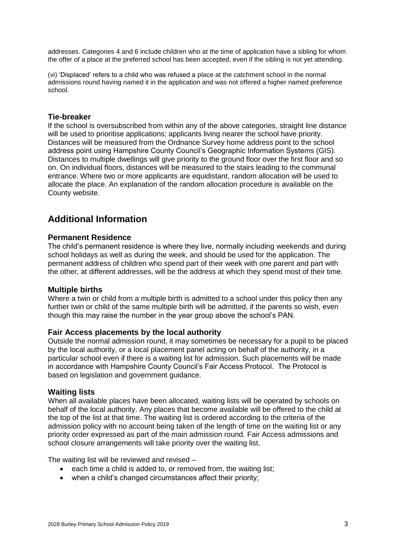addresses. Categories 4 and 6 include children who at the time of application have a sibling for whom the offer of a place at the preferred school has been accepted, even if the sibling is not yet attending.

(vi) 'Displaced' refers to a child who was refused a place at the catchment school in the normal admissions round having named it in the application and was not offered a higher named preference school.

## **Tie-breaker**

If the school is oversubscribed from within any of the above categories, straight line distance will be used to prioritise applications; applicants living nearer the school have priority. Distances will be measured from the Ordnance Survey home address point to the school address point using Hampshire County Council's Geographic Information Systems (GIS). Distances to multiple dwellings will give priority to the ground floor over the first floor and so on. On individual floors, distances will be measured to the stairs leading to the communal entrance. Where two or more applicants are equidistant, random allocation will be used to allocate the place. An explanation of the random allocation procedure is available on the County website.

## **Additional Information**

## **Permanent Residence**

The child's permanent residence is where they live, normally including weekends and during school holidays as well as during the week, and should be used for the application. The permanent address of children who spend part of their week with one parent and part with the other, at different addresses, will be the address at which they spend most of their time.

#### **Multiple births**

Where a twin or child from a multiple birth is admitted to a school under this policy then any further twin or child of the same multiple birth will be admitted, if the parents so wish, even though this may raise the number in the year group above the school's PAN.

## **Fair Access placements by the local authority**

Outside the normal admission round, it may sometimes be necessary for a pupil to be placed by the local authority, or a local placement panel acting on behalf of the authority, in a particular school even if there is a waiting list for admission. Such placements will be made in accordance with Hampshire County Council's Fair Access Protocol. The Protocol is based on legislation and government guidance.

#### **Waiting lists**

When all available places have been allocated, waiting lists will be operated by schools on behalf of the local authority. Any places that become available will be offered to the child at the top of the list at that time. The waiting list is ordered according to the criteria of the admission policy with no account being taken of the length of time on the waiting list or any priority order expressed as part of the main admission round. Fair Access admissions and school closure arrangements will take priority over the waiting list.

The waiting list will be reviewed and revised –

- each time a child is added to, or removed from, the waiting list;
- when a child's changed circumstances affect their priority;